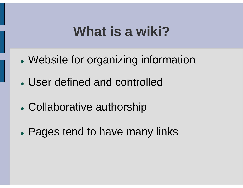### **What is a wiki?**

- $\bullet$ Website for organizing information
- User defined and controlled
- $\bullet$ Collaborative authorship
- $\bullet$ Pages tend to have many links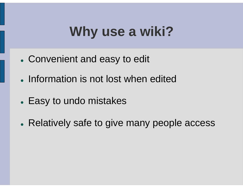# **Why use a wiki?**

- Convenient and easy to edit
- Information is not lost when edited
- Easy to undo mistakes
- Relatively safe to give many people access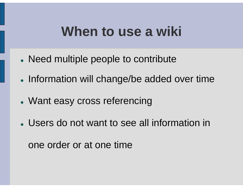### **When to use a wiki**

- Need multiple people to contribute
- Information will change/be added over time
- Want easy cross referencing
- Users do not want to see all information in

one order or at one time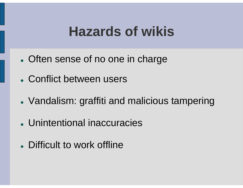### **Hazards of wikis**

- Often sense of no one in charge
- Conflict between users
- Vandalism: graffiti and malicious tampering
- Unintentional inaccuracies
- Difficult to work offline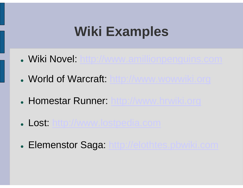# **Wiki Examples**

- Wiki Novel: http://www.amillionpenguins.com
- . World of Warcraft: http://www.wowwiki.org
- Homestar Runner: http://www.hrwiki.org
- Lost: http://www.lostpedia.com
- **. Elemenstor Saga: http://elothtes.pbwiki.com**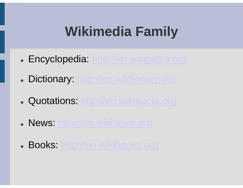# **Wikimedia Family**

- Encyclopedia: http://en.wikipedia.org
- **Dictionary: http://en.wiktionary.org**
- **Quotations: http://en.wikiquote.org**
- News: http://en.wikinews.org
- Books: <u>http://en.wikibooks.org</u>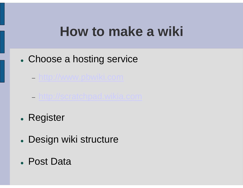### **How to make a wiki**

- Choose a hosting service
	- −– <u>http://www.pbwiki.com</u>
	- −– <u>http://scratchpad.wikia.com</u>
- Register
- Design wiki structure
- Post Data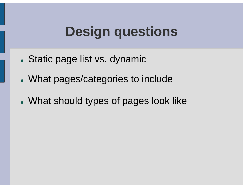# **Design questions**

- Static page list vs. dynamic
- What pages/categories to include
- What should types of pages look like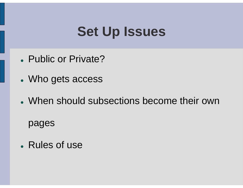# **Set Up Issues**

- Public or Private?
- Who gets access
- When should subsections become their own

pages

• Rules of use